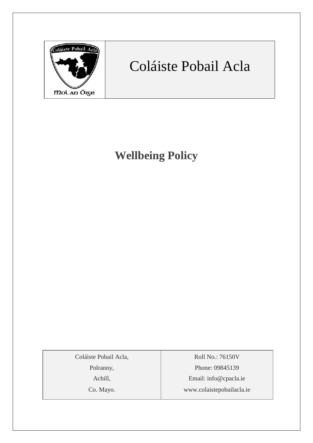

# Coláiste Pobail Acla

**Wellbeing Policy**

Coláiste Pobail Acla,

Polranny,

Achill,

Co. Mayo.

Roll No.: 76150V Phone: 09845139 Email: [info@cpacla.ie](mailto:info@cpacla.ie) www.colaistepobailacla.ie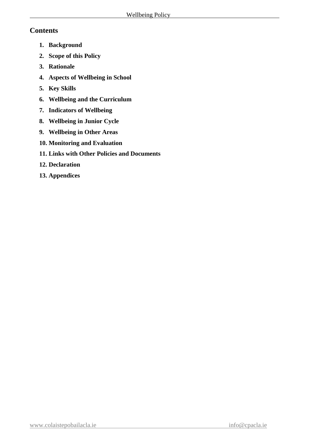#### **Contents**

- **1. Background**
- **2. Scope of this Policy**
- **3. Rationale**
- **4. Aspects of Wellbeing in School**
- **5. Key Skills**
- **6. Wellbeing and the Curriculum**
- **7. Indicators of Wellbeing**
- **8. Wellbeing in Junior Cycle**
- **9. Wellbeing in Other Areas**
- **10. Monitoring and Evaluation**
- **11. Links with Other Policies and Documents**
- **12. Declaration**
- **13. Appendices**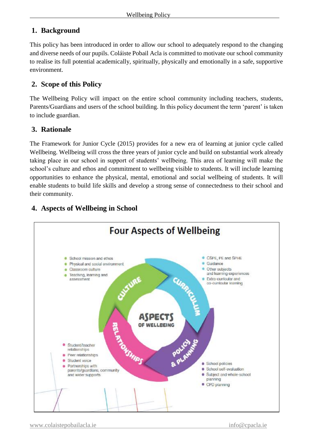# **1. Background**

This policy has been introduced in order to allow our school to adequately respond to the changing and diverse needs of our pupils. Coláiste Pobail Acla is committed to motivate our school community to realise its full potential academically, spiritually, physically and emotionally in a safe, supportive environment.

#### **2. Scope of this Policy**

The Wellbeing Policy will impact on the entire school community including teachers, students, Parents/Guardians and users of the school building. In this policy document the term 'parent' is taken to include guardian.

#### **3. Rationale**

The Framework for Junior Cycle (2015) provides for a new era of learning at junior cycle called Wellbeing. Wellbeing will cross the three years of junior cycle and build on substantial work already taking place in our school in support of students' wellbeing. This area of learning will make the school's culture and ethos and commitment to wellbeing visible to students. It will include learning opportunities to enhance the physical, mental, emotional and social wellbeing of students. It will enable students to build life skills and develop a strong sense of connectedness to their school and their community.



# **4. Aspects of Wellbeing in School**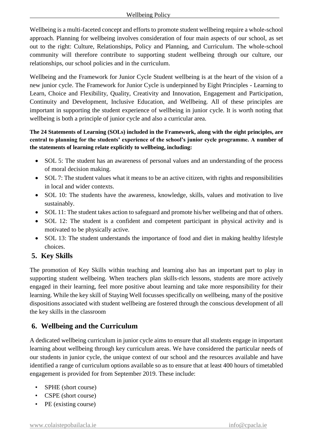Wellbeing is a multi-faceted concept and efforts to promote student wellbeing require a whole-school approach. Planning for wellbeing involves consideration of four main aspects of our school, as set out to the right: Culture, Relationships, Policy and Planning, and Curriculum. The whole-school community will therefore contribute to supporting student wellbeing through our culture, our relationships, our school policies and in the curriculum.

Wellbeing and the Framework for Junior Cycle Student wellbeing is at the heart of the vision of a new junior cycle. The Framework for Junior Cycle is underpinned by Eight Principles - Learning to Learn, Choice and Flexibility, Quality, Creativity and Innovation, Engagement and Participation, Continuity and Development, Inclusive Education, and Wellbeing. All of these principles are important in supporting the student experience of wellbeing in junior cycle. It is worth noting that wellbeing is both a principle of junior cycle and also a curricular area.

#### **The 24 Statements of Learning (SOLs) included in the Framework, along with the eight principles, are central to planning for the students' experience of the school's junior cycle programme. A number of the statements of learning relate explicitly to wellbeing, including:**

- SOL 5: The student has an awareness of personal values and an understanding of the process of moral decision making.
- SOL 7: The student values what it means to be an active citizen, with rights and responsibilities in local and wider contexts.
- SOL 10: The students have the awareness, knowledge, skills, values and motivation to live sustainably.
- SOL 11: The student takes action to safeguard and promote his/her wellbeing and that of others.
- SOL 12: The student is a confident and competent participant in physical activity and is motivated to be physically active.
- SOL 13: The student understands the importance of food and diet in making healthy lifestyle choices.

# **5. Key Skills**

The promotion of Key Skills within teaching and learning also has an important part to play in supporting student wellbeing. When teachers plan skills-rich lessons, students are more actively engaged in their learning, feel more positive about learning and take more responsibility for their learning. While the key skill of Staying Well focusses specifically on wellbeing, many of the positive dispositions associated with student wellbeing are fostered through the conscious development of all the key skills in the classroom

# **6. Wellbeing and the Curriculum**

A dedicated wellbeing curriculum in junior cycle aims to ensure that all students engage in important learning about wellbeing through key curriculum areas. We have considered the particular needs of our students in junior cycle, the unique context of our school and the resources available and have identified a range of curriculum options available so as to ensure that at least 400 hours of timetabled engagement is provided for from September 2019. These include:

- SPHE (short course)
- CSPE (short course)
- PE (existing course)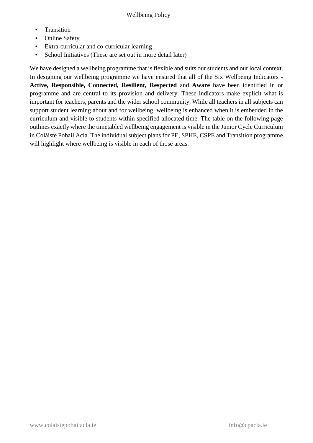- Transition
- Online Safety
- Extra-curricular and co-curricular learning
- School Initiatives (These are set out in more detail later)

We have designed a wellbeing programme that is flexible and suits our students and our local context. In designing our wellbeing programme we have ensured that all of the Six Wellbeing Indicators - **Active, Responsible, Connected, Resilient, Respected** and **Aware** have been identified in or programme and are central to its provision and delivery. These indicators make explicit what is important for teachers, parents and the wider school community. While all teachers in all subjects can support student learning about and for wellbeing, wellbeing is enhanced when it is embedded in the curriculum and visible to students within specified allocated time. The table on the following page outlines exactly where the timetabled wellbeing engagement is visible in the Junior Cycle Curriculum in Coláiste Pobail Acla. The individual subject plans for PE, SPHE, CSPE and Transition programme will highlight where wellbeing is visible in each of those areas.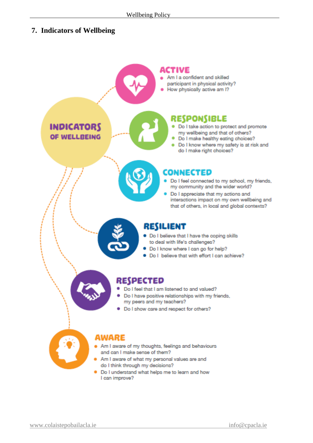#### **7. Indicators of Wellbeing**

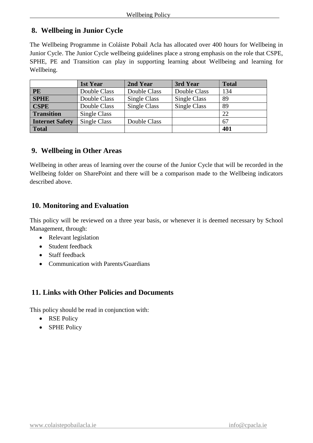#### **8. Wellbeing in Junior Cycle**

The Wellbeing Programme in Coláiste Pobail Acla has allocated over 400 hours for Wellbeing in Junior Cycle. The Junior Cycle wellbeing guidelines place a strong emphasis on the role that CSPE, SPHE, PE and Transition can play in supporting learning about Wellbeing and learning for Wellbeing.

|                        | 1st Year     | 2nd Year     | 3rd Year     | <b>Total</b> |
|------------------------|--------------|--------------|--------------|--------------|
| <b>PE</b>              | Double Class | Double Class | Double Class | 134          |
| <b>SPHE</b>            | Double Class | Single Class | Single Class | 89           |
| <b>CSPE</b>            | Double Class | Single Class | Single Class | 89           |
| <b>Transition</b>      | Single Class |              |              | 22           |
| <b>Internet Safety</b> | Single Class | Double Class |              | 67           |
| <b>Total</b>           |              |              |              | 401          |

# **9. Wellbeing in Other Areas**

Wellbeing in other areas of learning over the course of the Junior Cycle that will be recorded in the Wellbeing folder on SharePoint and there will be a comparison made to the Wellbeing indicators described above.

# **10. Monitoring and Evaluation**

This policy will be reviewed on a three year basis, or whenever it is deemed necessary by School Management, through:

- Relevant legislation
- Student feedback
- Staff feedback
- Communication with Parents/Guardians

# **11. Links with Other Policies and Documents**

This policy should be read in conjunction with:

- RSE Policy
- SPHE Policy